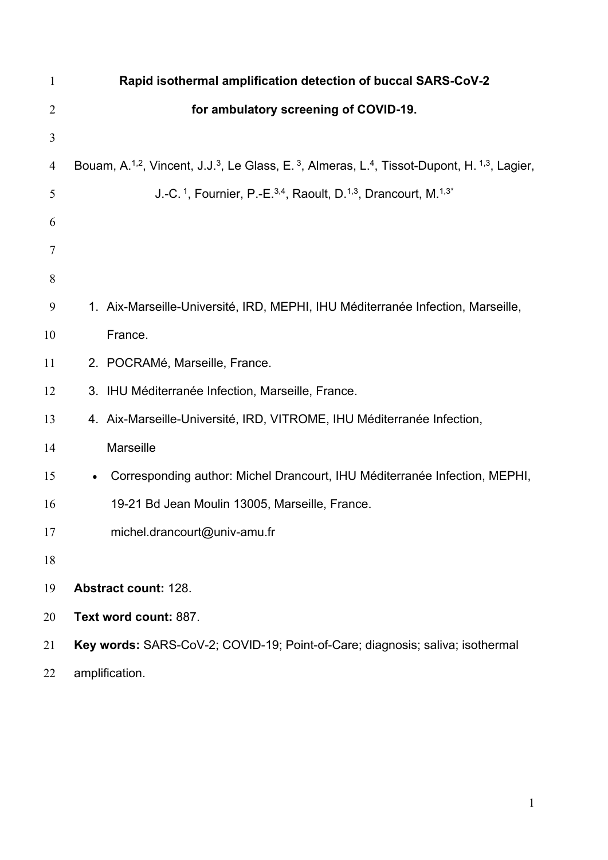| $\mathbf{1}$   | Rapid isothermal amplification detection of buccal SARS-CoV-2                                                                                             |  |  |  |  |  |
|----------------|-----------------------------------------------------------------------------------------------------------------------------------------------------------|--|--|--|--|--|
| $\overline{2}$ | for ambulatory screening of COVID-19.                                                                                                                     |  |  |  |  |  |
| 3              |                                                                                                                                                           |  |  |  |  |  |
| $\overline{4}$ | Bouam, A. <sup>1,2</sup> , Vincent, J.J. <sup>3</sup> , Le Glass, E. <sup>3</sup> , Almeras, L. <sup>4</sup> , Tissot-Dupont, H. <sup>1,3</sup> , Lagier, |  |  |  |  |  |
| 5              | J.-C. <sup>1</sup> , Fournier, P.-E. <sup>3,4</sup> , Raoult, D. <sup>1,3</sup> , Drancourt, M. <sup>1,3*</sup>                                           |  |  |  |  |  |
| 6              |                                                                                                                                                           |  |  |  |  |  |
| 7              |                                                                                                                                                           |  |  |  |  |  |
| 8              |                                                                                                                                                           |  |  |  |  |  |
| 9              | 1. Aix-Marseille-Université, IRD, MEPHI, IHU Méditerranée Infection, Marseille,                                                                           |  |  |  |  |  |
| 10             | France.                                                                                                                                                   |  |  |  |  |  |
| 11             | 2. POCRAMé, Marseille, France.                                                                                                                            |  |  |  |  |  |
| 12             | 3. IHU Méditerranée Infection, Marseille, France.                                                                                                         |  |  |  |  |  |
| 13             | 4. Aix-Marseille-Université, IRD, VITROME, IHU Méditerranée Infection,                                                                                    |  |  |  |  |  |
| 14             | Marseille                                                                                                                                                 |  |  |  |  |  |
| 15             | Corresponding author: Michel Drancourt, IHU Méditerranée Infection, MEPHI,<br>$\bullet$                                                                   |  |  |  |  |  |
| 16             | 19-21 Bd Jean Moulin 13005, Marseille, France.                                                                                                            |  |  |  |  |  |
| 17             | michel.drancourt@univ-amu.fr                                                                                                                              |  |  |  |  |  |
| 18             |                                                                                                                                                           |  |  |  |  |  |
| 19             | <b>Abstract count: 128.</b>                                                                                                                               |  |  |  |  |  |
| 20             | Text word count: 887.                                                                                                                                     |  |  |  |  |  |
| 21             | Key words: SARS-CoV-2; COVID-19; Point-of-Care; diagnosis; saliva; isothermal                                                                             |  |  |  |  |  |
| 22             | amplification.                                                                                                                                            |  |  |  |  |  |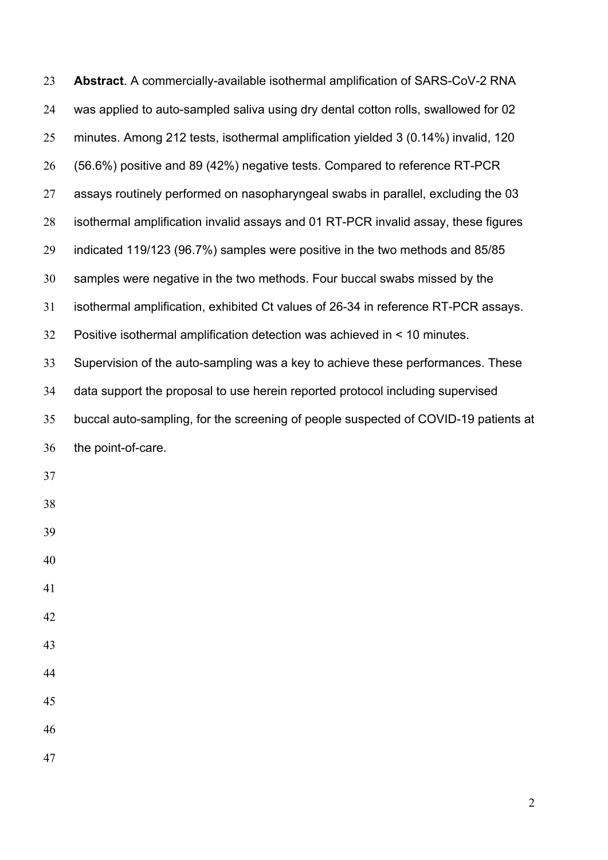| 23 | Abstract. A commercially-available isothermal amplification of SARS-CoV-2 RNA       |
|----|-------------------------------------------------------------------------------------|
| 24 | was applied to auto-sampled saliva using dry dental cotton rolls, swallowed for 02  |
| 25 | minutes. Among 212 tests, isothermal amplification yielded 3 (0.14%) invalid, 120   |
| 26 | (56.6%) positive and 89 (42%) negative tests. Compared to reference RT-PCR          |
| 27 | assays routinely performed on nasopharyngeal swabs in parallel, excluding the 03    |
| 28 | isothermal amplification invalid assays and 01 RT-PCR invalid assay, these figures  |
| 29 | indicated 119/123 (96.7%) samples were positive in the two methods and 85/85        |
| 30 | samples were negative in the two methods. Four buccal swabs missed by the           |
| 31 | isothermal amplification, exhibited Ct values of 26-34 in reference RT-PCR assays.  |
| 32 | Positive isothermal amplification detection was achieved in < 10 minutes.           |
| 33 | Supervision of the auto-sampling was a key to achieve these performances. These     |
| 34 | data support the proposal to use herein reported protocol including supervised      |
| 35 | buccal auto-sampling, for the screening of people suspected of COVID-19 patients at |
| 36 | the point-of-care.                                                                  |
| 37 |                                                                                     |
| 38 |                                                                                     |
| 39 |                                                                                     |
| 40 |                                                                                     |
| 41 |                                                                                     |
| 42 |                                                                                     |
| 43 |                                                                                     |
| 44 |                                                                                     |
| 45 |                                                                                     |
| 46 |                                                                                     |
| 47 |                                                                                     |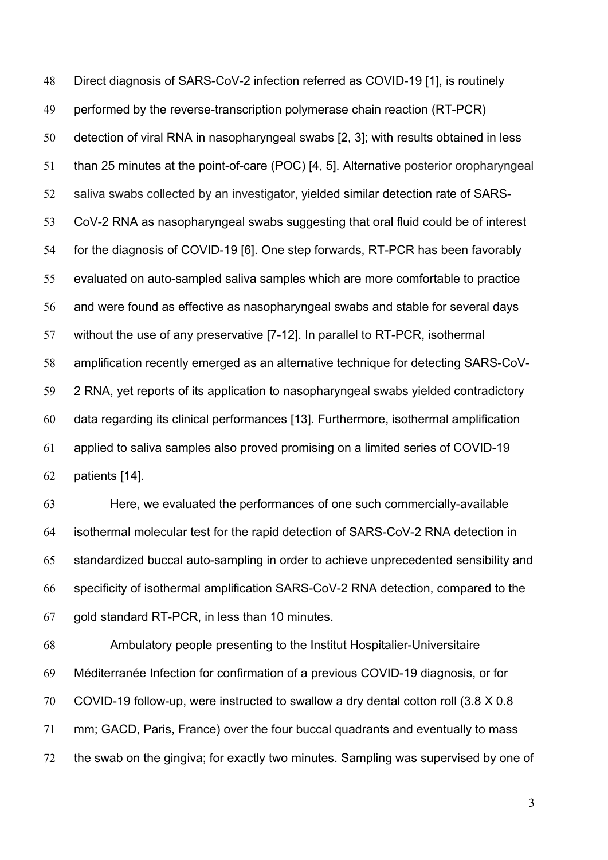Direct diagnosis of SARS-CoV-2 infection referred as COVID-19 [1], is routinely performed by the reverse-transcription polymerase chain reaction (RT-PCR) detection of viral RNA in nasopharyngeal swabs [2, 3]; with results obtained in less than 25 minutes at the point-of-care (POC) [4, 5]. Alternative posterior oropharyngeal saliva swabs collected by an investigator, yielded similar detection rate of SARS- CoV-2 RNA as nasopharyngeal swabs suggesting that oral fluid could be of interest for the diagnosis of COVID-19 [6]. One step forwards, RT-PCR has been favorably evaluated on auto-sampled saliva samples which are more comfortable to practice and were found as effective as nasopharyngeal swabs and stable for several days without the use of any preservative [7-12]. In parallel to RT-PCR, isothermal amplification recently emerged as an alternative technique for detecting SARS-CoV- 2 RNA, yet reports of its application to nasopharyngeal swabs yielded contradictory data regarding its clinical performances [13]. Furthermore, isothermal amplification applied to saliva samples also proved promising on a limited series of COVID-19 patients [14].

 Here, we evaluated the performances of one such commercially-available isothermal molecular test for the rapid detection of SARS-CoV-2 RNA detection in standardized buccal auto-sampling in order to achieve unprecedented sensibility and specificity of isothermal amplification SARS-CoV-2 RNA detection, compared to the gold standard RT-PCR, in less than 10 minutes.

 Ambulatory people presenting to the Institut Hospitalier-Universitaire Méditerranée Infection for confirmation of a previous COVID-19 diagnosis, or for COVID-19 follow-up, were instructed to swallow a dry dental cotton roll (3.8 X 0.8 mm; GACD, Paris, France) over the four buccal quadrants and eventually to mass the swab on the gingiva; for exactly two minutes. Sampling was supervised by one of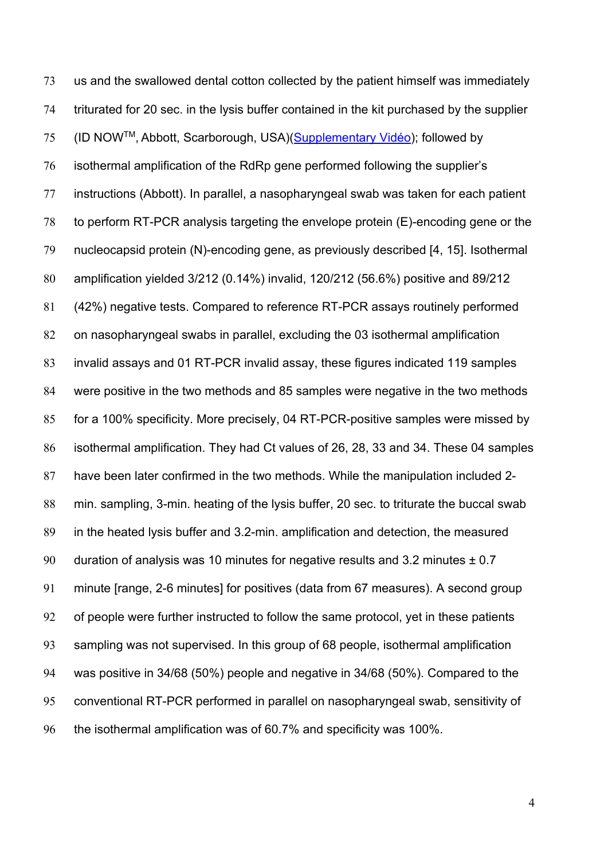us and the swallowed dental cotton collected by the patient himself was immediately triturated for 20 sec. in the lysis buffer contained in the kit purchased by the supplier 75 (ID NOW™, Abbott, Scarborough, USA)(Supplementary Vidéo); followed by isothermal amplification of the RdRp gene performed following the supplier's instructions (Abbott). In parallel, a nasopharyngeal swab was taken for each patient to perform RT-PCR analysis targeting the envelope protein (E)-encoding gene or the nucleocapsid protein (N)-encoding gene, as previously described [4, 15]. Isothermal amplification yielded 3/212 (0.14%) invalid, 120/212 (56.6%) positive and 89/212 (42%) negative tests. Compared to reference RT-PCR assays routinely performed on nasopharyngeal swabs in parallel, excluding the 03 isothermal amplification invalid assays and 01 RT-PCR invalid assay, these figures indicated 119 samples were positive in the two methods and 85 samples were negative in the two methods for a 100% specificity. More precisely, 04 RT-PCR-positive samples were missed by isothermal amplification. They had Ct values of 26, 28, 33 and 34. These 04 samples have been later confirmed in the two methods. While the manipulation included 2- min. sampling, 3-min. heating of the lysis buffer, 20 sec. to triturate the buccal swab in the heated lysis buffer and 3.2-min. amplification and detection, the measured duration of analysis was 10 minutes for negative results and 3.2 minutes ± 0.7 minute [range, 2-6 minutes] for positives (data from 67 measures). A second group of people were further instructed to follow the same protocol, yet in these patients sampling was not supervised. In this group of 68 people, isothermal amplification was positive in 34/68 (50%) people and negative in 34/68 (50%). Compared to the conventional RT-PCR performed in parallel on nasopharyngeal swab, sensitivity of the isothermal amplification was of 60.7% and specificity was 100%.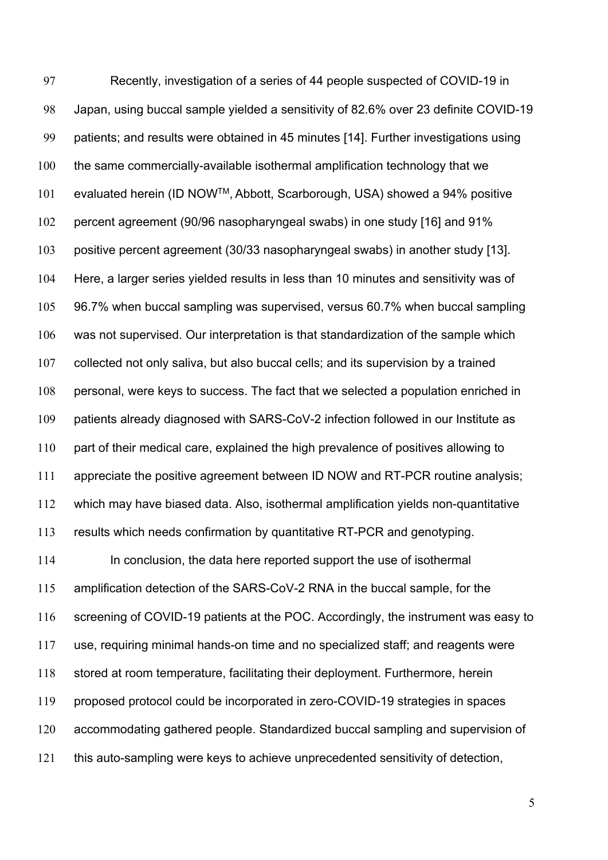Recently, investigation of a series of 44 people suspected of COVID-19 in Japan, using buccal sample yielded a sensitivity of 82.6% over 23 definite COVID-19 patients; and results were obtained in 45 minutes [14]. Further investigations using the same commercially-available isothermal amplification technology that we 101 evaluated herein (ID NOW™, Abbott, Scarborough, USA) showed a 94% positive percent agreement (90/96 nasopharyngeal swabs) in one study [16] and 91% positive percent agreement (30/33 nasopharyngeal swabs) in another study [13]. Here, a larger series yielded results in less than 10 minutes and sensitivity was of 96.7% when buccal sampling was supervised, versus 60.7% when buccal sampling was not supervised. Our interpretation is that standardization of the sample which collected not only saliva, but also buccal cells; and its supervision by a trained personal, were keys to success. The fact that we selected a population enriched in 109 patients already diagnosed with SARS-CoV-2 infection followed in our Institute as part of their medical care, explained the high prevalence of positives allowing to appreciate the positive agreement between ID NOW and RT-PCR routine analysis; which may have biased data. Also, isothermal amplification yields non-quantitative results which needs confirmation by quantitative RT-PCR and genotyping. In conclusion, the data here reported support the use of isothermal amplification detection of the SARS-CoV-2 RNA in the buccal sample, for the 116 screening of COVID-19 patients at the POC. Accordingly, the instrument was easy to use, requiring minimal hands-on time and no specialized staff; and reagents were stored at room temperature, facilitating their deployment. Furthermore, herein proposed protocol could be incorporated in zero-COVID-19 strategies in spaces accommodating gathered people. Standardized buccal sampling and supervision of this auto-sampling were keys to achieve unprecedented sensitivity of detection,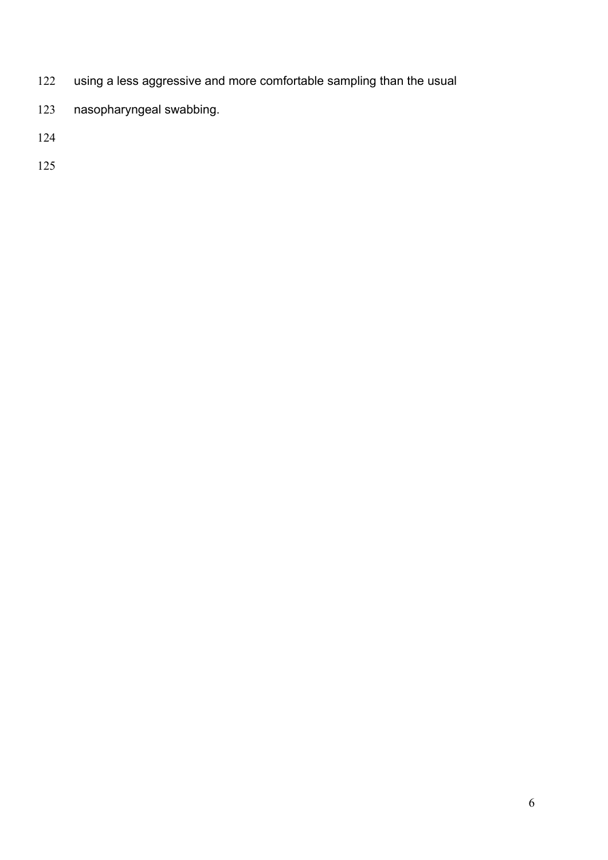- using a less aggressive and more comfortable sampling than the usual
- nasopharyngeal swabbing.
- 
-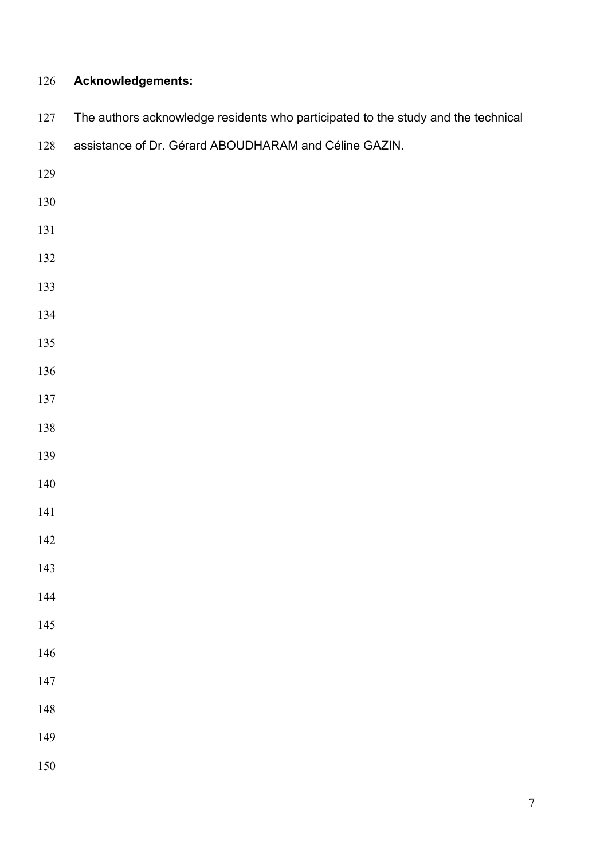## **Acknowledgements:**

| 127 | The authors acknowledge residents who participated to the study and the technical |
|-----|-----------------------------------------------------------------------------------|
| 128 | assistance of Dr. Gérard ABOUDHARAM and Céline GAZIN.                             |
| 129 |                                                                                   |
| 130 |                                                                                   |
| 131 |                                                                                   |
| 132 |                                                                                   |
| 133 |                                                                                   |
| 134 |                                                                                   |
| 135 |                                                                                   |
| 136 |                                                                                   |
| 137 |                                                                                   |
| 138 |                                                                                   |
| 139 |                                                                                   |
| 140 |                                                                                   |
| 141 |                                                                                   |
| 142 |                                                                                   |
| 143 |                                                                                   |
| 144 |                                                                                   |
| 145 |                                                                                   |
| 146 |                                                                                   |
| 147 |                                                                                   |
| 148 |                                                                                   |
| 149 |                                                                                   |
| 150 |                                                                                   |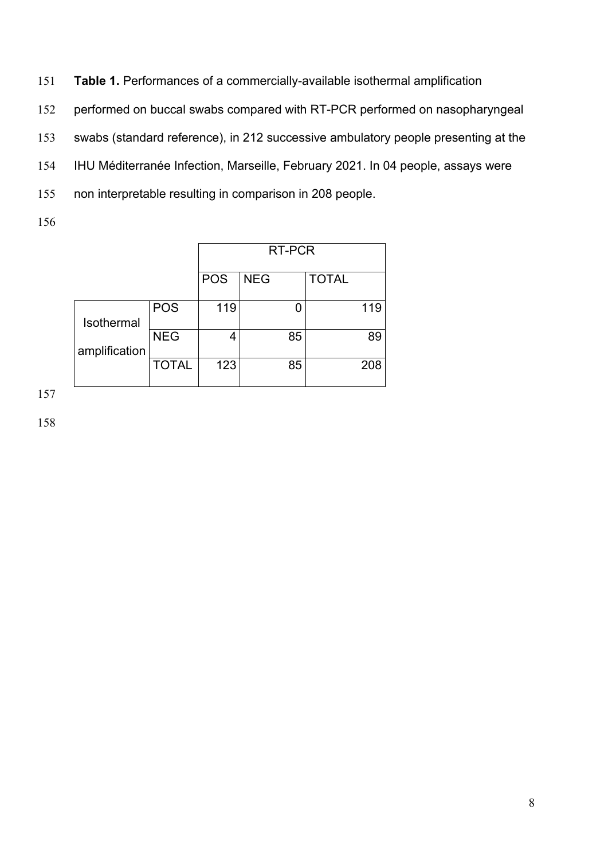151 **Table 1.** Performances of a commercially-available isothermal amplification

152 performed on buccal swabs compared with RT-PCR performed on nasopharyngeal

153 swabs (standard reference), in 212 successive ambulatory people presenting at the

154 IHU Méditerranée Infection, Marseille, February 2021. In 04 people, assays were

155 non interpretable resulting in comparison in 208 people.

156

|               |              | RT-PCR     |            |              |     |
|---------------|--------------|------------|------------|--------------|-----|
|               |              | <b>POS</b> | <b>NEG</b> | <b>TOTAL</b> |     |
| Isothermal    | <b>POS</b>   | 119        |            |              | 119 |
| amplification | <b>NEG</b>   | 4          | 85         |              | 89  |
|               | <b>TOTAL</b> | 123        | 85         |              | 208 |

157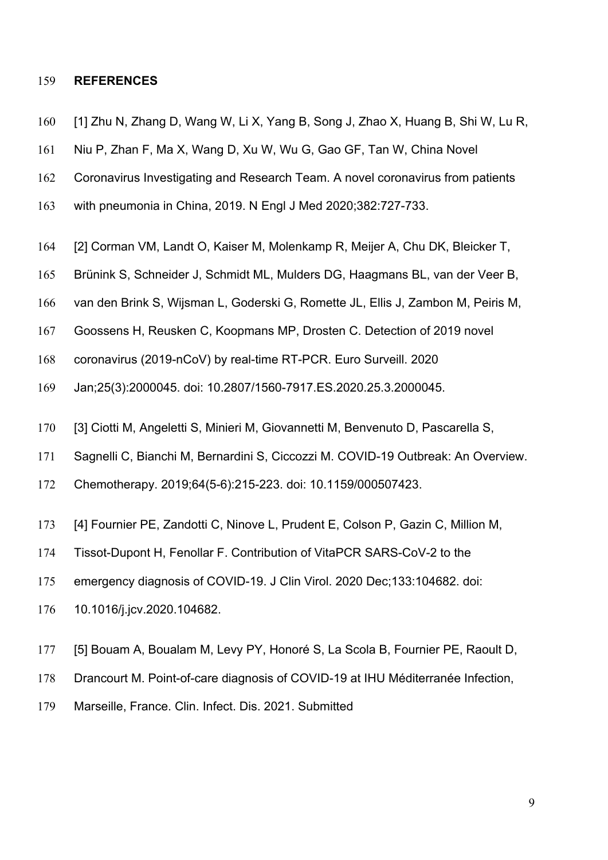## **REFERENCES**

- [1] Zhu N, Zhang D, Wang W, Li X, Yang B, Song J, Zhao X, Huang B, Shi W, Lu R,
- Niu P, Zhan F, Ma X, Wang D, Xu W, Wu G, Gao GF, Tan W, China Novel
- Coronavirus Investigating and Research Team. A novel coronavirus from patients
- with pneumonia in China, 2019. N Engl J Med 2020;382:727-733.
- [2] Corman VM, Landt O, Kaiser M, Molenkamp R, Meijer A, Chu DK, Bleicker T,
- Brünink S, Schneider J, Schmidt ML, Mulders DG, Haagmans BL, van der Veer B,
- van den Brink S, Wijsman L, Goderski G, Romette JL, Ellis J, Zambon M, Peiris M,
- Goossens H, Reusken C, Koopmans MP, Drosten C. Detection of 2019 novel
- coronavirus (2019-nCoV) by real-time RT-PCR. Euro Surveill. 2020
- Jan;25(3):2000045. doi: 10.2807/1560-7917.ES.2020.25.3.2000045.
- [3] Ciotti M, Angeletti S, Minieri M, Giovannetti M, Benvenuto D, Pascarella S,
- Sagnelli C, Bianchi M, Bernardini S, Ciccozzi M. COVID-19 Outbreak: An Overview.
- Chemotherapy. 2019;64(5-6):215-223. doi: 10.1159/000507423.
- [4] Fournier PE, Zandotti C, Ninove L, Prudent E, Colson P, Gazin C, Million M,
- Tissot-Dupont H, Fenollar F. Contribution of VitaPCR SARS-CoV-2 to the
- emergency diagnosis of COVID-19. J Clin Virol. 2020 Dec;133:104682. doi:
- 10.1016/j.jcv.2020.104682.
- [5] Bouam A, Boualam M, Levy PY, Honoré S, La Scola B, Fournier PE, Raoult D,
- Drancourt M. Point-of-care diagnosis of COVID-19 at IHU Méditerranée Infection,
- Marseille, France. Clin. Infect. Dis. 2021. Submitted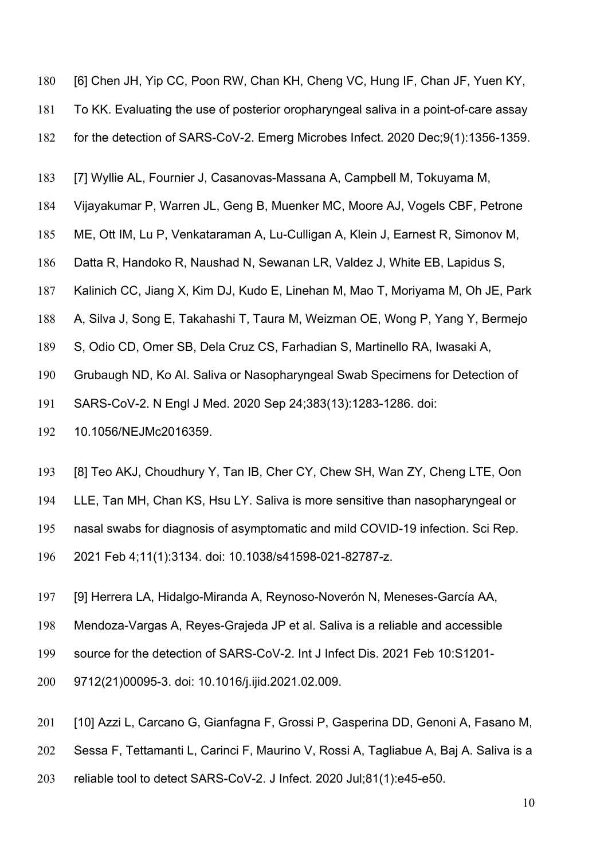- [6] Chen JH, Yip CC, Poon RW, Chan KH, Cheng VC, Hung IF, Chan JF, Yuen KY,
- To KK. Evaluating the use of posterior oropharyngeal saliva in a point-of-care assay
- for the detection of SARS-CoV-2. Emerg Microbes Infect. 2020 Dec;9(1):1356-1359.
- [7] Wyllie AL, Fournier J, Casanovas-Massana A, Campbell M, Tokuyama M,
- Vijayakumar P, Warren JL, Geng B, Muenker MC, Moore AJ, Vogels CBF, Petrone
- ME, Ott IM, Lu P, Venkataraman A, Lu-Culligan A, Klein J, Earnest R, Simonov M,
- Datta R, Handoko R, Naushad N, Sewanan LR, Valdez J, White EB, Lapidus S,
- Kalinich CC, Jiang X, Kim DJ, Kudo E, Linehan M, Mao T, Moriyama M, Oh JE, Park
- A, Silva J, Song E, Takahashi T, Taura M, Weizman OE, Wong P, Yang Y, Bermejo
- S, Odio CD, Omer SB, Dela Cruz CS, Farhadian S, Martinello RA, Iwasaki A,
- Grubaugh ND, Ko AI. Saliva or Nasopharyngeal Swab Specimens for Detection of
- SARS-CoV-2. N Engl J Med. 2020 Sep 24;383(13):1283-1286. doi:
- 10.1056/NEJMc2016359.
- [8] Teo AKJ, Choudhury Y, Tan IB, Cher CY, Chew SH, Wan ZY, Cheng LTE, Oon
- LLE, Tan MH, Chan KS, Hsu LY. Saliva is more sensitive than nasopharyngeal or
- nasal swabs for diagnosis of asymptomatic and mild COVID-19 infection. Sci Rep.
- 2021 Feb 4;11(1):3134. doi: 10.1038/s41598-021-82787-z.
- [9] Herrera LA, Hidalgo-Miranda A, Reynoso-Noverón N, Meneses-García AA,
- Mendoza-Vargas A, Reyes-Grajeda JP et al. Saliva is a reliable and accessible
- source for the detection of SARS-CoV-2. Int J Infect Dis. 2021 Feb 10:S1201-
- 9712(21)00095-3. doi: 10.1016/j.ijid.2021.02.009.
- [10] Azzi L, Carcano G, Gianfagna F, Grossi P, Gasperina DD, Genoni A, Fasano M,
- Sessa F, Tettamanti L, Carinci F, Maurino V, Rossi A, Tagliabue A, Baj A. Saliva is a
- reliable tool to detect SARS-CoV-2. J Infect. 2020 Jul;81(1):e45-e50.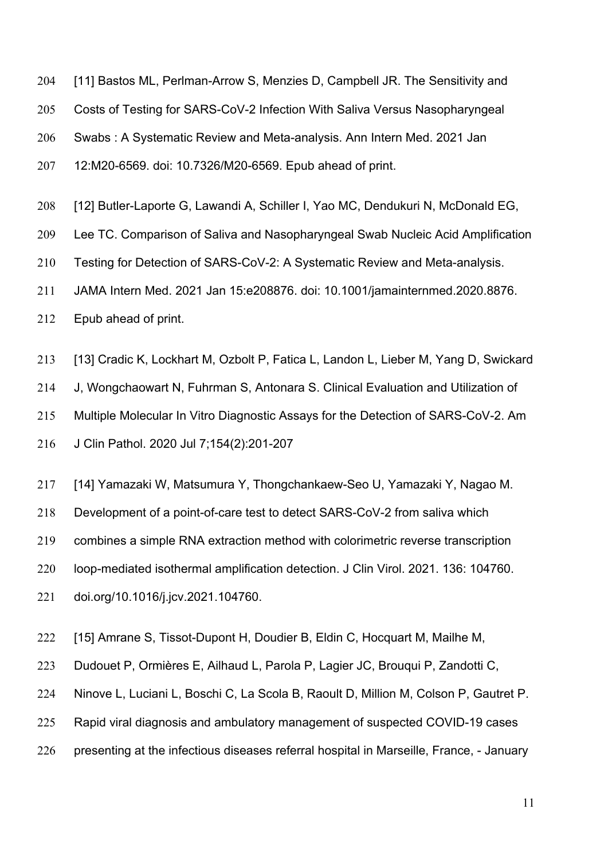- [11] Bastos ML, Perlman-Arrow S, Menzies D, Campbell JR. The Sensitivity and
- Costs of Testing for SARS-CoV-2 Infection With Saliva Versus Nasopharyngeal
- Swabs : A Systematic Review and Meta-analysis. Ann Intern Med. 2021 Jan

12:M20-6569. doi: 10.7326/M20-6569. Epub ahead of print.

- [12] Butler-Laporte G, Lawandi A, Schiller I, Yao MC, Dendukuri N, McDonald EG,
- Lee TC. Comparison of Saliva and Nasopharyngeal Swab Nucleic Acid Amplification
- Testing for Detection of SARS-CoV-2: A Systematic Review and Meta-analysis.
- JAMA Intern Med. 2021 Jan 15:e208876. doi: 10.1001/jamainternmed.2020.8876.
- Epub ahead of print.
- [13] Cradic K, Lockhart M, Ozbolt P, Fatica L, Landon L, Lieber M, Yang D, Swickard

J, Wongchaowart N, Fuhrman S, Antonara S. Clinical Evaluation and Utilization of

Multiple Molecular In Vitro Diagnostic Assays for the Detection of SARS-CoV-2. Am

J Clin Pathol. 2020 Jul 7;154(2):201-207

- [14] Yamazaki W, Matsumura Y, Thongchankaew-Seo U, Yamazaki Y, Nagao M.
- Development of a point-of-care test to detect SARS-CoV-2 from saliva which

combines a simple RNA extraction method with colorimetric reverse transcription

loop-mediated isothermal amplification detection. J Clin Virol. 2021. 136: 104760.

doi.org/10.1016/j.jcv.2021.104760.

- [15] Amrane S, Tissot-Dupont H, Doudier B, Eldin C, Hocquart M, Mailhe M,
- Dudouet P, Ormières E, Ailhaud L, Parola P, Lagier JC, Brouqui P, Zandotti C,
- Ninove L, Luciani L, Boschi C, La Scola B, Raoult D, Million M, Colson P, Gautret P.
- Rapid viral diagnosis and ambulatory management of suspected COVID-19 cases
- presenting at the infectious diseases referral hospital in Marseille, France, January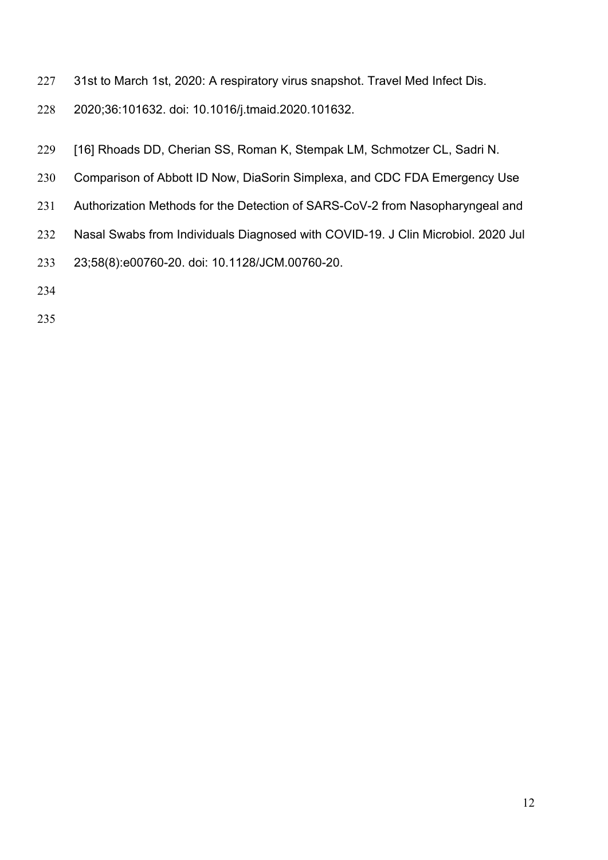- 31st to March 1st, 2020: A respiratory virus snapshot. Travel Med Infect Dis.
- 2020;36:101632. doi: 10.1016/j.tmaid.2020.101632.
- [16] Rhoads DD, Cherian SS, Roman K, Stempak LM, Schmotzer CL, Sadri N.
- Comparison of Abbott ID Now, DiaSorin Simplexa, and CDC FDA Emergency Use
- Authorization Methods for the Detection of SARS-CoV-2 from Nasopharyngeal and
- Nasal Swabs from Individuals Diagnosed with COVID-19. J Clin Microbiol. 2020 Jul
- 23;58(8):e00760-20. doi: 10.1128/JCM.00760-20.
- 
-